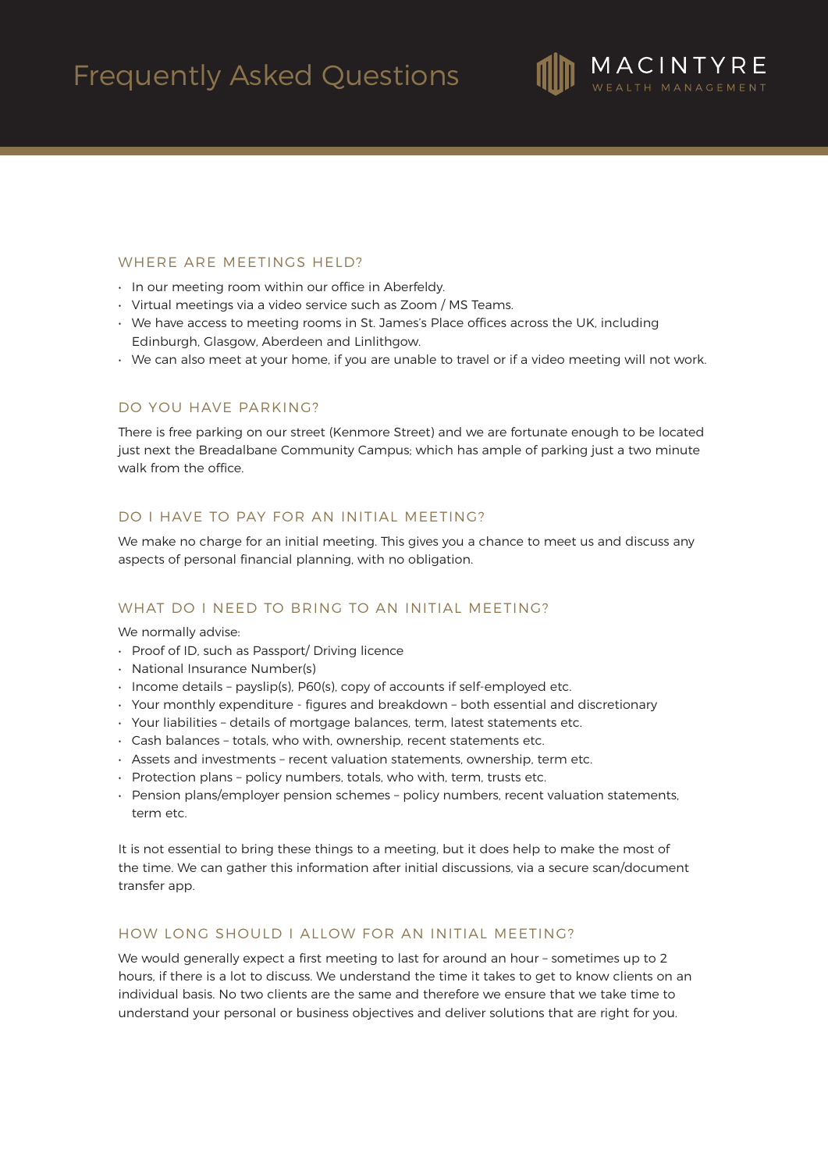

# WHERE ARE MEETINGS HELD?

- In our meeting room within our office in Aberfeldy.
- Virtual meetings via a video service such as Zoom / MS Teams.
- We have access to meeting rooms in St. James's Place offices across the UK, including Edinburgh, Glasgow, Aberdeen and Linlithgow.
- We can also meet at your home, if you are unable to travel or if a video meeting will not work.

# DO YOU HAVE PARKING?

There is free parking on our street (Kenmore Street) and we are fortunate enough to be located just next the Breadalbane Community Campus; which has ample of parking just a two minute walk from the office.

## DO I HAVE TO PAY FOR AN INITIAL MEETING?

We make no charge for an initial meeting. This gives you a chance to meet us and discuss any aspects of personal financial planning, with no obligation.

#### WHAT DO I NEED TO BRING TO AN INITIAL MEETING?

We normally advise:

- Proof of ID, such as Passport/ Driving licence
- National Insurance Number(s)
- Income details payslip(s), P60(s), copy of accounts if self-employed etc.
- Your monthly expenditure figures and breakdown both essential and discretionary
- Your liabilities details of mortgage balances, term, latest statements etc.
- Cash balances totals, who with, ownership, recent statements etc.
- Assets and investments recent valuation statements, ownership, term etc.
- Protection plans policy numbers, totals, who with, term, trusts etc.
- Pension plans/employer pension schemes policy numbers, recent valuation statements, term etc.

It is not essential to bring these things to a meeting, but it does help to make the most of the time. We can gather this information after initial discussions, via a secure scan/document transfer app.

## HOW LONG SHOULD I ALLOW FOR AN INITIAL MEETING?

We would generally expect a first meeting to last for around an hour – sometimes up to 2 hours, if there is a lot to discuss. We understand the time it takes to get to know clients on an individual basis. No two clients are the same and therefore we ensure that we take time to understand your personal or business objectives and deliver solutions that are right for you.